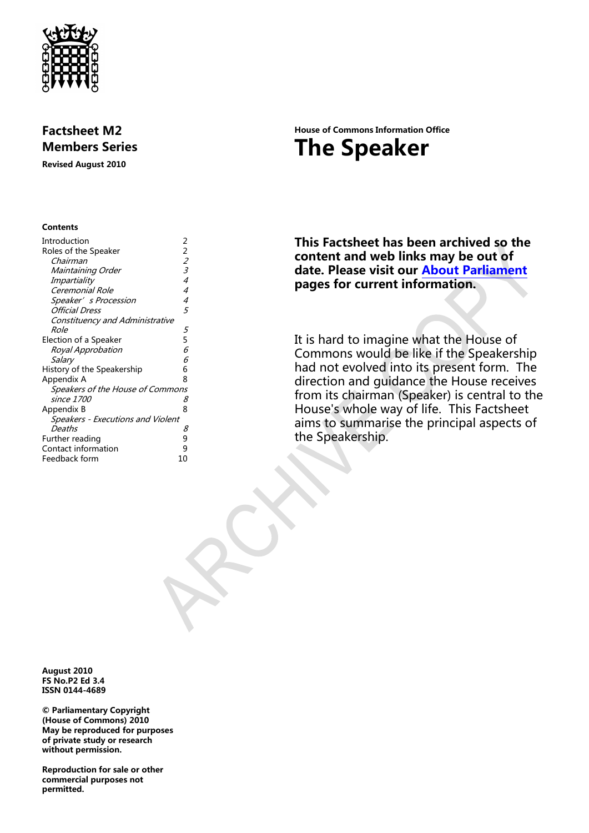

# **Factsheet M2 Members Series**

**Revised August 2010**

#### **Contents**

| Introduction                      | 2                           |
|-----------------------------------|-----------------------------|
| Roles of the Speaker              | 2                           |
| Chairman                          | $\mathcal{Z}_{\mathcal{C}}$ |
| Maintaining Order                 | 3                           |
| Impartiality                      | 4                           |
| Ceremonial Role                   | 4                           |
| Speaker's Procession              | 4                           |
| Official Dress                    | 5                           |
| Constituency and Administrative   |                             |
| Role                              | 5                           |
| Election of a Speaker             | 5                           |
| Royal Approbation                 | 6                           |
| Salary                            | 6                           |
| History of the Speakership        | 6                           |
| Appendix A                        | ጸ                           |
| Speakers of the House of Commons  |                             |
| since 1700                        | 8                           |
| Appendix B                        | 8                           |
| Speakers - Executions and Violent |                             |
| Deaths                            | 8                           |
| Further reading                   | 9                           |
| Contact information               | 9                           |
| Feedback form                     | 10                          |
|                                   |                             |

# **House of Commons Information Office The Speaker**

**This Factsheet has been archived so the content and web links may be out of date. Please visit our [About Parliament](http://www.parliament.uk/about/) pages for current information.**

It is hard to imagine what the House of Commons would be like if the Speakership had not evolved into its present form. The direction and guidance the House receives from its chairman (Speaker) is central to the House's whole way of life. This Factsheet aims to summarise the principal aspects of the Speakership.

**August 2010 FS No.P2 Ed 3.4 ISSN 0144-4689**

**© Parliamentary Copyright (House of Commons) 2010 May be reproduced for purposes of private study or research without permission.** 

**Reproduction for sale or other commercial purposes not permitted.**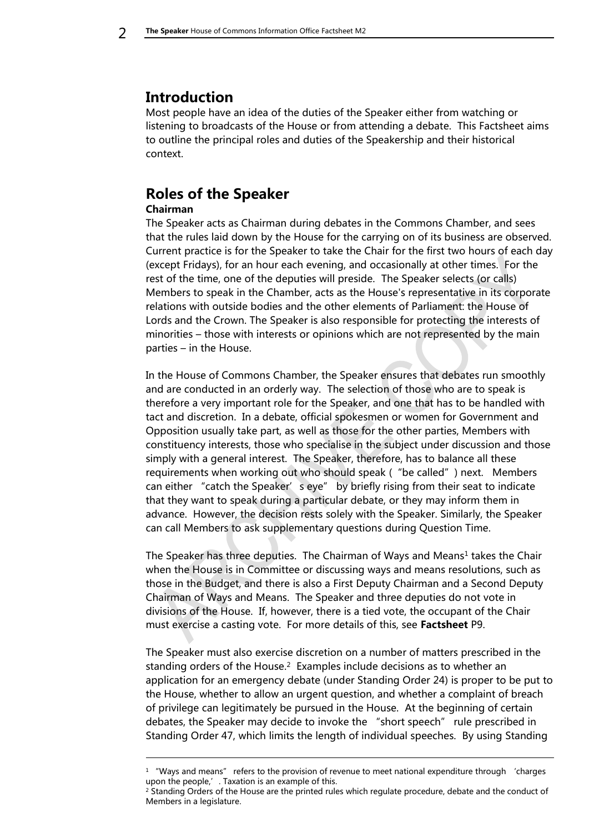# <span id="page-1-0"></span>**Introduction**

-

Most people have an idea of the duties of the Speaker either from watching or listening to broadcasts of the House or from attending a debate. This Factsheet aims to outline the principal roles and duties of the Speakership and their historical context.

### <span id="page-1-2"></span><span id="page-1-1"></span>**Roles of the Speaker Chairman**

The Speaker acts as Chairman during debates in the Commons Chamber, and sees that the rules laid down by the House for the carrying on of its business are observed. Current practice is for the Speaker to take the Chair for the first two hours of each day (except Fridays), for an hour each evening, and occasionally at other times. For the rest of the time, one of the deputies will preside. The Speaker selects (or calls) Members to speak in the Chamber, acts as the House's representative in its corporate relations with outside bodies and the other elements of Parliament: the House of Lords and the Crown. The Speaker is also responsible for protecting the interests of minorities – those with interests or opinions which are not represented by the main parties – in the House.

In the House of Commons Chamber, the Speaker ensures that debates run smoothly and are conducted in an orderly way. The selection of those who are to speak is therefore a very important role for the Speaker, and one that has to be handled with tact and discretion. In a debate, official spokesmen or women for Government and Opposition usually take part, as well as those for the other parties, Members with constituency interests, those who specialise in the subject under discussion and those simply with a general interest. The Speaker, therefore, has to balance all these requirements when working out who should speak ("be called") next. Members can either "catch the Speaker's eye" by briefly rising from their seat to indicate that they want to speak during a particular debate, or they may inform them in advance. However, the decision rests solely with the Speaker. Similarly, the Speaker can call Members to ask supplementary questions during Question Time.

The Speaker has three deputies. The Chairman of Ways and Means $^1$  takes the Chair when the House is in Committee or discussing ways and means resolutions, such as those in the Budget, and there is also a First Deputy Chairman and a Second Deputy Chairman of Ways and Means. The Speaker and three deputies do not vote in divisions of the House. If, however, there is a tied vote, the occupant of the Chair must exercise a casting vote. For more details of this, see **Factsheet** P9.

The Speaker must also exercise discretion on a number of matters prescribed in the standing orders of the House. 2 Examples include decisions as to whether an application for an emergency debate (under Standing Order 24) is proper to be put to the House, whether to allow an urgent question, and whether a complaint of breach of privilege can legitimately be pursued in the House. At the beginning of certain debates, the Speaker may decide to invoke the "short speech" rule prescribed in Standing Order 47, which limits the length of individual speeches. By using Standing

 $1$  "Ways and means" refers to the provision of revenue to meet national expenditure through 'charges upon the people,'. Taxation is an example of this.

<sup>&</sup>lt;sup>2</sup> Standing Orders of the House are the printed rules which regulate procedure, debate and the conduct of Members in a legislature.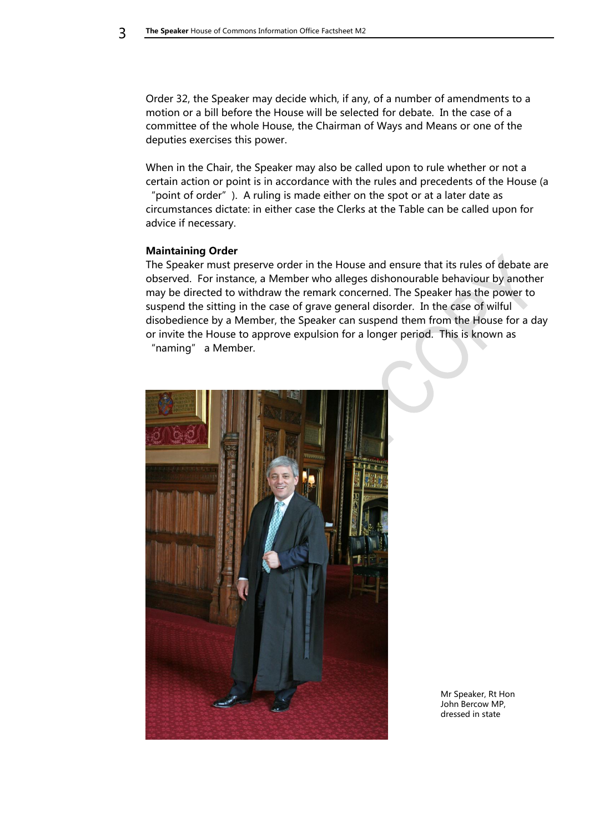Order 32, the Speaker may decide which, if any, of a number of amendments to a motion or a bill before the House will be selected for debate. In the case of a committee of the whole House, the Chairman of Ways and Means or one of the deputies exercises this power.

When in the Chair, the Speaker may also be called upon to rule whether or not a certain action or point is in accordance with the rules and precedents of the House (a "point of order"). A ruling is made either on the spot or at a later date as circumstances dictate: in either case the Clerks at the Table can be called upon for advice if necessary.

#### <span id="page-2-0"></span>**Maintaining Order**

The Speaker must preserve order in the House and ensure that its rules of debate are observed. For instance, a Member who alleges dishonourable behaviour by another may be directed to withdraw the remark concerned. The Speaker has the power to suspend the sitting in the case of grave general disorder. In the case of wilful disobedience by a Member, the Speaker can suspend them from the House for a day or invite the House to approve expulsion for a longer period. This is known as "naming" a Member.



Mr Speaker, Rt Hon John Bercow MP, dressed in state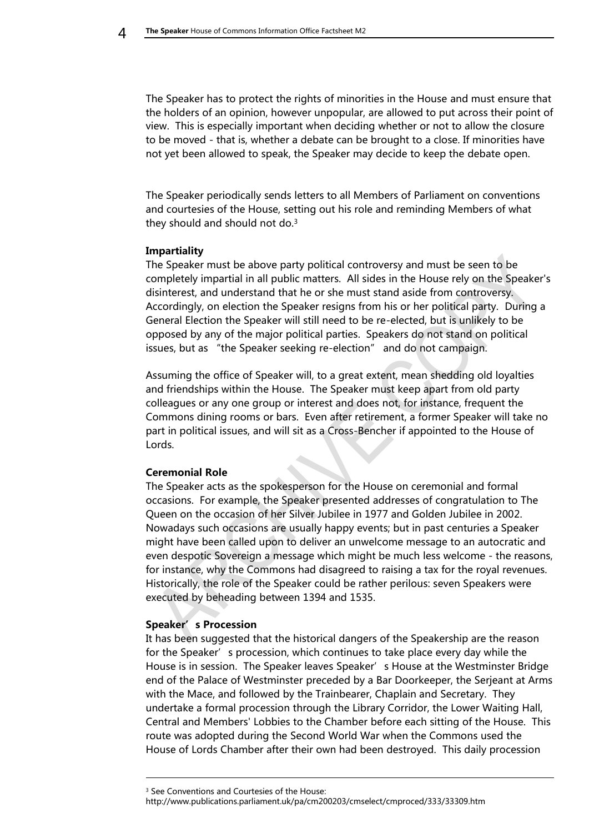The Speaker has to protect the rights of minorities in the House and must ensure that the holders of an opinion, however unpopular, are allowed to put across their point of view. This is especially important when deciding whether or not to allow the closure to be moved - that is, whether a debate can be brought to a close. If minorities have not yet been allowed to speak, the Speaker may decide to keep the debate open.

The Speaker periodically sends letters to all Members of Parliament on conventions and courtesies of the House, setting out his role and reminding Members of what they should and should not do. $3$ 

### <span id="page-3-0"></span>**Impartiality**

The Speaker must be above party political controversy and must be seen to be completely impartial in all public matters. All sides in the House rely on the Speaker's disinterest, and understand that he or she must stand aside from controversy. Accordingly, on election the Speaker resigns from his or her political party. During a General Election the Speaker will still need to be re-elected, but is unlikely to be opposed by any of the major political parties. Speakers do not stand on political issues, but as "the Speaker seeking re-election" and do not campaign.

Assuming the office of Speaker will, to a great extent, mean shedding old loyalties and friendships within the House. The Speaker must keep apart from old party colleagues or any one group or interest and does not, for instance, frequent the Commons dining rooms or bars. Even after retirement, a former Speaker will take no part in political issues, and will sit as a Cross-Bencher if appointed to the House of Lords.

### <span id="page-3-1"></span>**Ceremonial Role**

The Speaker acts as the spokesperson for the House on ceremonial and formal occasions. For example, the Speaker presented addresses of congratulation to The Queen on the occasion of her Silver Jubilee in 1977 and Golden Jubilee in 2002. Nowadays such occasions are usually happy events; but in past centuries a Speaker might have been called upon to deliver an unwelcome message to an autocratic and even despotic Sovereign a message which might be much less welcome - the reasons, for instance, why the Commons had disagreed to raising a tax for the royal revenues. Historically, the role of the Speaker could be rather perilous: seven Speakers were executed by beheading between 1394 and 1535.

### <span id="page-3-2"></span>**Speaker's Procession**

-

It has been suggested that the historical dangers of the Speakership are the reason for the Speaker's procession, which continues to take place every day while the House is in session. The Speaker leaves Speaker's House at the Westminster Bridge end of the Palace of Westminster preceded by a Bar Doorkeeper, the Serjeant at Arms with the Mace, and followed by the Trainbearer, Chaplain and Secretary. They undertake a formal procession through the Library Corridor, the Lower Waiting Hall, Central and Members' Lobbies to the Chamber before each sitting of the House. This route was adopted during the Second World War when the Commons used the House of Lords Chamber after their own had been destroyed. This daily procession

<sup>&</sup>lt;sup>3</sup> See Conventions and Courtesies of the House:

http://www.publications.parliament.uk/pa/cm200203/cmselect/cmproced/333/33309.htm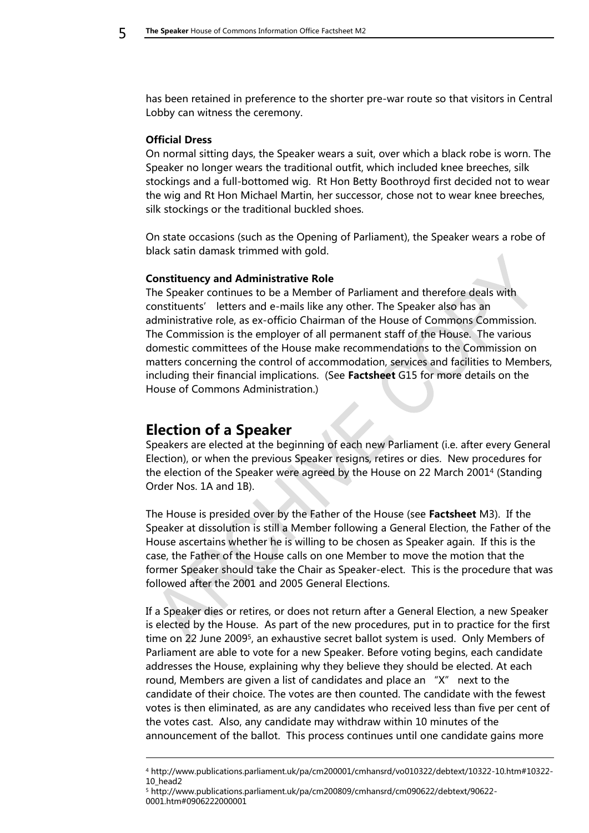has been retained in preference to the shorter pre-war route so that visitors in Central Lobby can witness the ceremony.

#### <span id="page-4-0"></span>**Official Dress**

On normal sitting days, the Speaker wears a suit, over which a black robe is worn. The Speaker no longer wears the traditional outfit, which included knee breeches, silk stockings and a full-bottomed wig. Rt Hon Betty Boothroyd first decided not to wear the wig and Rt Hon Michael Martin, her successor, chose not to wear knee breeches, silk stockings or the traditional buckled shoes.

On state occasions (such as the Opening of Parliament), the Speaker wears a robe of black satin damask trimmed with gold.

#### <span id="page-4-1"></span>**Constituency and Administrative Role**

The Speaker continues to be a Member of Parliament and therefore deals with constituents' letters and e-mails like any other. The Speaker also has an administrative role, as ex-officio Chairman of the House of Commons Commission. The Commission is the employer of all permanent staff of the House. The various domestic committees of the House make recommendations to the Commission on matters concerning the control of accommodation, services and facilities to Members, including their financial implications. (See **Factsheet** G15 for more details on the House of Commons Administration.)

### <span id="page-4-2"></span>**Election of a Speaker**

-

Speakers are elected at the beginning of each new Parliament (i.e. after every General Election), or when the previous Speaker resigns, retires or dies. New procedures for the election of the Speaker were agreed by the House on 22 March 2001<sup>4</sup> (Standing Order Nos. 1A and 1B).

The House is presided over by the Father of the House (see **Factsheet** M3). If the Speaker at dissolution is still a Member following a General Election, the Father of the House ascertains whether he is willing to be chosen as Speaker again. If this is the case, the Father of the House calls on one Member to move the motion that the former Speaker should take the Chair as Speaker-elect. This is the procedure that was followed after the 2001 and 2005 General Elections.

If a Speaker dies or retires, or does not return after a General Election, a new Speaker is elected by the House. As part of the new procedures, put in to practice for the first time on 22 June 2009<sup>5</sup> , an exhaustive secret ballot system is used. Only Members of Parliament are able to vote for a new Speaker. Before voting begins, each candidate addresses the House, explaining why they believe they should be elected. At each round, Members are given a list of candidates and place an "X" next to the candidate of their choice. The votes are then counted. The candidate with the fewest votes is then eliminated, as are any candidates who received less than five per cent of the votes cast. Also, any candidate may withdraw within 10 minutes of the announcement of the ballot. This process continues until one candidate gains more

<sup>5</sup> http://www.publications.parliament.uk/pa/cm200809/cmhansrd/cm090622/debtext/90622- 0001.htm#0906222000001

<sup>4</sup> http://www.publications.parliament.uk/pa/cm200001/cmhansrd/vo010322/debtext/10322-10.htm#10322- 10\_head2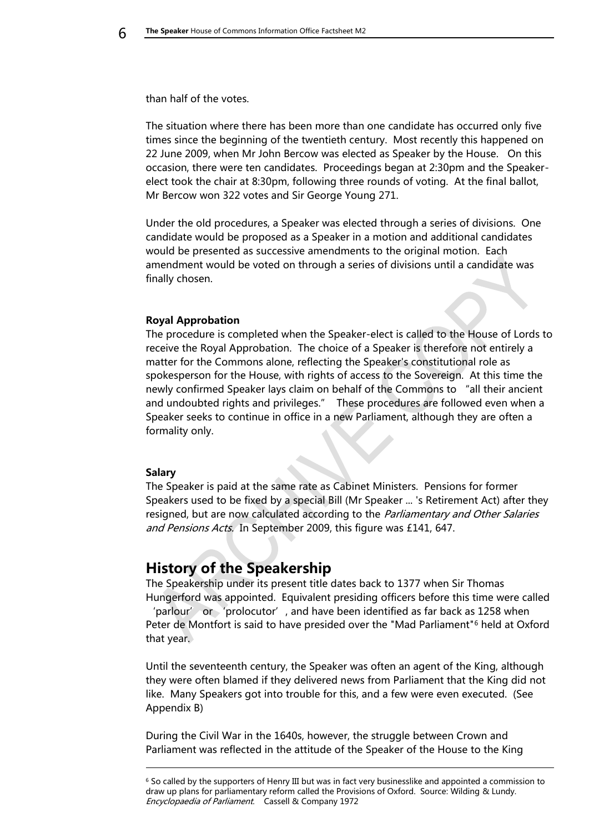than half of the votes.

The situation where there has been more than one candidate has occurred only five times since the beginning of the twentieth century. Most recently this happened on 22 June 2009, when Mr John Bercow was elected as Speaker by the House. On this occasion, there were ten candidates. Proceedings began at 2:30pm and the Speakerelect took the chair at 8:30pm, following three rounds of voting. At the final ballot, Mr Bercow won 322 votes and Sir George Young 271.

Under the old procedures, a Speaker was elected through a series of divisions. One candidate would be proposed as a Speaker in a motion and additional candidates would be presented as successive amendments to the original motion. Each amendment would be voted on through a series of divisions until a candidate was finally chosen.

#### <span id="page-5-0"></span>**Royal Approbation**

The procedure is completed when the Speaker-elect is called to the House of Lords to receive the Royal Approbation. The choice of a Speaker is therefore not entirely a matter for the Commons alone, reflecting the Speaker's constitutional role as spokesperson for the House, with rights of access to the Sovereign. At this time the newly confirmed Speaker lays claim on behalf of the Commons to "all their ancient and undoubted rights and privileges." These procedures are followed even when a Speaker seeks to continue in office in a new Parliament, although they are often a formality only.

#### <span id="page-5-1"></span>**Salary**

-

The Speaker is paid at the same rate as Cabinet Ministers. Pensions for former Speakers used to be fixed by a special Bill (Mr Speaker ... 's Retirement Act) after they resigned, but are now calculated according to the Parliamentary and Other Salaries and Pensions Acts. In September 2009, this figure was £141, 647.

### <span id="page-5-2"></span>**History of the Speakership**

The Speakership under its present title dates back to 1377 when Sir Thomas Hungerford was appointed. Equivalent presiding officers before this time were called 'parlour' or 'prolocutor', and have been identified as far back as 1258 when Peter de Montfort is said to have presided over the "Mad Parliament"<sup>6</sup> held at Oxford that year.

Until the seventeenth century, the Speaker was often an agent of the King, although they were often blamed if they delivered news from Parliament that the King did not like. Many Speakers got into trouble for this, and a few were even executed. (See Appendix B)

During the Civil War in the 1640s, however, the struggle between Crown and Parliament was reflected in the attitude of the Speaker of the House to the King

<sup>6</sup> So called by the supporters of Henry III but was in fact very businesslike and appointed a commission to draw up plans for parliamentary reform called the Provisions of Oxford. Source: Wilding & Lundy. Encyclopaedia of Parliament. Cassell & Company 1972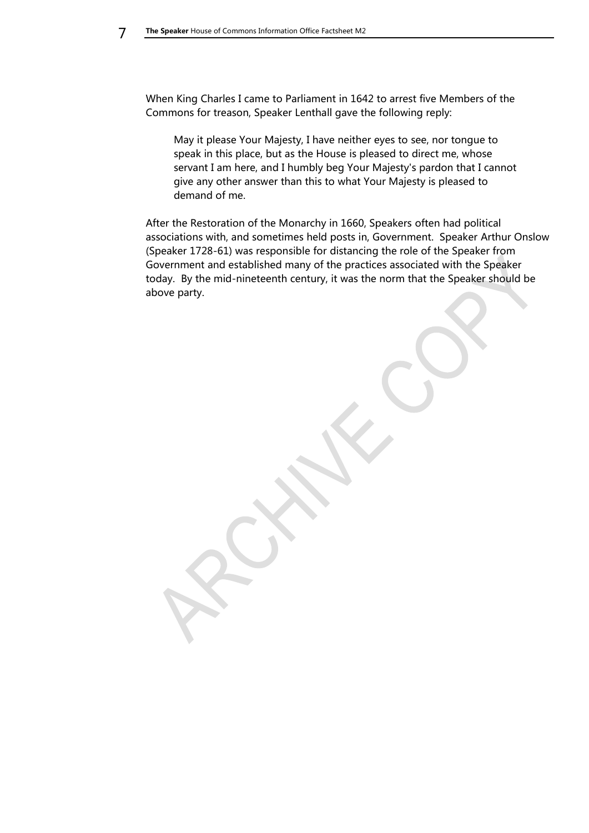When King Charles I came to Parliament in 1642 to arrest five Members of the Commons for treason, Speaker Lenthall gave the following reply:

May it please Your Majesty, I have neither eyes to see, nor tongue to speak in this place, but as the House is pleased to direct me, whose servant I am here, and I humbly beg Your Majesty's pardon that I cannot give any other answer than this to what Your Majesty is pleased to demand of me.

After the Restoration of the Monarchy in 1660, Speakers often had political associations with, and sometimes held posts in, Government. Speaker Arthur Onslow (Speaker 1728-61) was responsible for distancing the role of the Speaker from Government and established many of the practices associated with the Speaker today. By the mid-nineteenth century, it was the norm that the Speaker should be above party.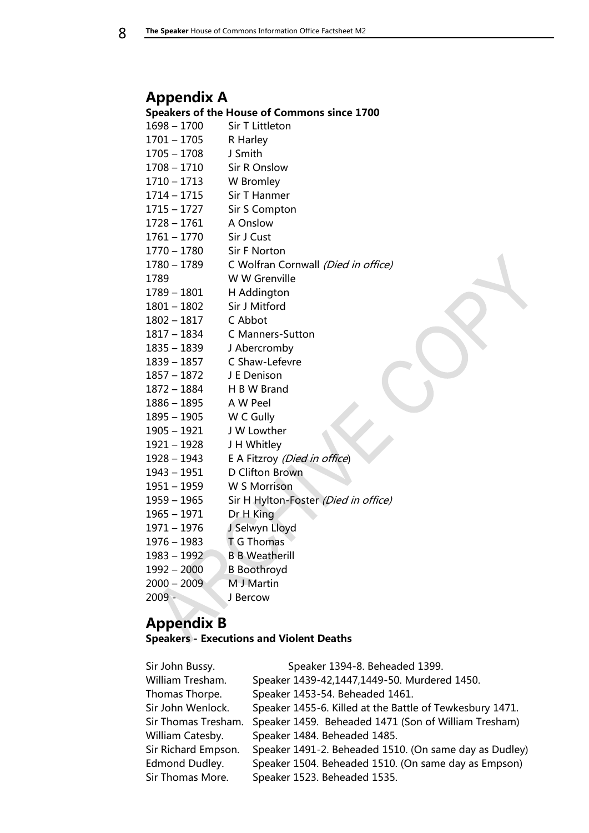# <span id="page-7-0"></span>**Appendix A**

#### <span id="page-7-1"></span>**Speakers of the House of Commons since 1700**

- 1700 Sir T Littleton – 1705 R Harley
- 1708 J Smith
- 1710 Sir R Onslow
- 1713 W Bromley
- 1715 Sir T Hanmer
- 1727 Sir S Compton
- 1761 A Onslow
- 1770 Sir J Cust
- 1780 Sir F Norton
- 1780 1789 C Wolfran Cornwall (Died in office)
- W W Grenville
- 1789 1801 H Addington
- 1802 Sir J Mitford
- 1817 C Abbot
- 1834 C Manners-Sutton
- 1839 J Abercromby
- 1857 C Shaw-Lefevre
- 1872 J E Denison
- 1884 H B W Brand
- 1895 A W Peel
- 1905 W C Gully
- 1921 J W Lowther
- 1928 J H Whitley
- 1943 E A Fitzroy (Died in office)
- 1951 D Clifton Brown
- 1959 W S Morrison
- 1965 Sir H Hylton-Foster (Died in office)
- 1971 Dr H King
- 1976 J Selwyn Lloyd
- 1983 T G Thomas
- 1992 B B Weatherill
- 2000 B Boothroyd
- 2000 2009 M J Martin
- 2009 J Bercow

# <span id="page-7-2"></span>**Appendix B**

<span id="page-7-3"></span>**Speakers - Executions and Violent Deaths**

| Sir John Bussy.     | Speaker 1394-8. Beheaded 1399.                           |
|---------------------|----------------------------------------------------------|
| William Tresham.    | Speaker 1439-42,1447,1449-50. Murdered 1450.             |
| Thomas Thorpe.      | Speaker 1453-54. Beheaded 1461.                          |
| Sir John Wenlock.   | Speaker 1455-6. Killed at the Battle of Tewkesbury 1471. |
| Sir Thomas Tresham. | Speaker 1459. Beheaded 1471 (Son of William Tresham)     |
| William Catesby.    | Speaker 1484. Beheaded 1485.                             |
| Sir Richard Empson. | Speaker 1491-2. Beheaded 1510. (On same day as Dudley)   |
| Edmond Dudley.      | Speaker 1504. Beheaded 1510. (On same day as Empson)     |
| Sir Thomas More.    | Speaker 1523. Beheaded 1535.                             |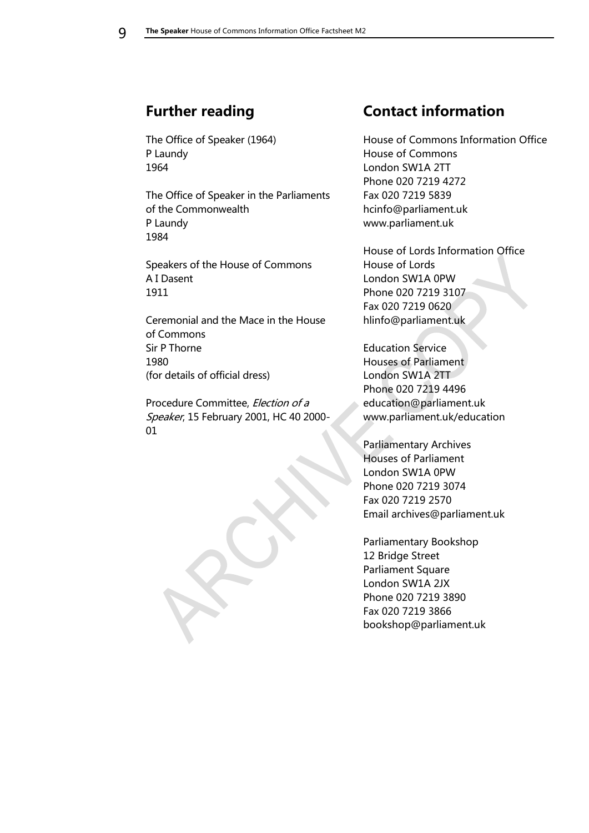# <span id="page-8-0"></span>**Further reading**

The Office of Speaker (1964) P Laundy 1964

The Office of Speaker in the Parliaments of the Commonwealth P Laundy 1984

Speakers of the House of Commons A I Dasent 1911

Ceremonial and the Mace in the House of Commons Sir P Thorne 1980 (for details of official dress)

Procedure Committee, Election of a Speaker, 15 February 2001, HC 40 2000- 01

# <span id="page-8-1"></span>**Contact information**

House of Commons Information Office House of Commons London SW1A 2TT Phone 020 7219 4272 Fax 020 7219 5839 hcinfo@parliament.uk www.parliament.uk

House of Lords Information Office House of Lords London SW1A 0PW Phone 020 7219 3107 Fax 020 7219 0620 hlinfo@parliament.uk

Education Service Houses of Parliament London SW1A 2TT Phone 020 7219 4496 education@parliament.uk www.parliament.uk/education

Parliamentary Archives Houses of Parliament London SW1A 0PW Phone 020 7219 3074 Fax 020 7219 2570 Email archives@parliament.uk

Parliamentary Bookshop 12 Bridge Street Parliament Square London SW1A 2JX Phone 020 7219 3890 Fax 020 7219 3866 bookshop@parliament.uk